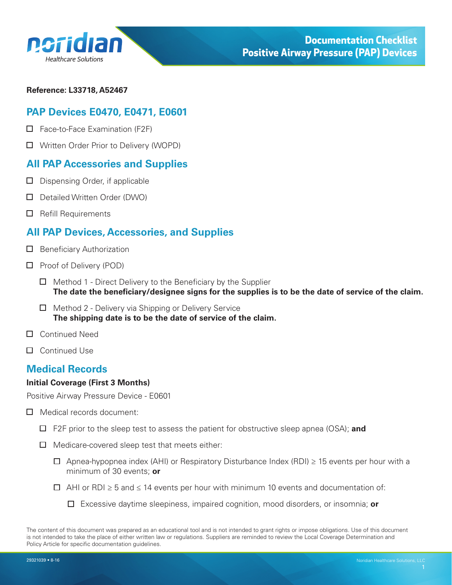<span id="page-0-0"></span>

#### **Reference: L33718, A52467**

# **PAP Devices E0470, E0471, E0601**

- $\Box$  Face-to-Face Examination (F2F)
- □ Written Order Prior to Delivery (WOPD)

# **All PAP Accessories and Supplies**

- $\Box$  Dispensing Order, if applicable
- Detailed Written Order (DWO)
- $\Box$  Refill Requirements

# **All PAP Devices, Accessories, and Supplies**

- $\Box$  Beneficiary Authorization
- □ Proof of Delivery (POD)
	- $\Box$  Method 1 Direct Delivery to the Beneficiary by the Supplier **The date the beneficiary/designee signs for the supplies is to be the date of service of the claim.**
	- $\Box$  Method 2 Delivery via Shipping or Delivery Service **The shipping date is to be the date of service of the claim.**
- Continued Need
- □ Continued Use

# **Medical Records**

#### **Initial Coverage (First 3 Months)**

Positive Airway Pressure Device - E0601

- Medical records document:
	- F2F prior to the sleep test to assess the patient for obstructive sleep apnea (OSA); **and**
	- $\Box$  Medicare-covered sleep test that meets either:
		- $□$  Apnea-hypopnea index (AHI) or Respiratory Disturbance Index (RDI) ≥ 15 events per hour with a minimum of 30 events; **or**
		- $\Box$  AHI or RDI ≥ 5 and ≤ 14 events per hour with minimum 10 events and documentation of:
			- Excessive daytime sleepiness, impaired cognition, mood disorders, or insomnia; **or**

The content of this document was prepared as an educational tool and is not intended to grant rights or impose obligations. Use of this document is not intended to take the place of either written law or regulations. Suppliers are reminded to review the Local Coverage Determination and Policy Article for specific documentation guidelines.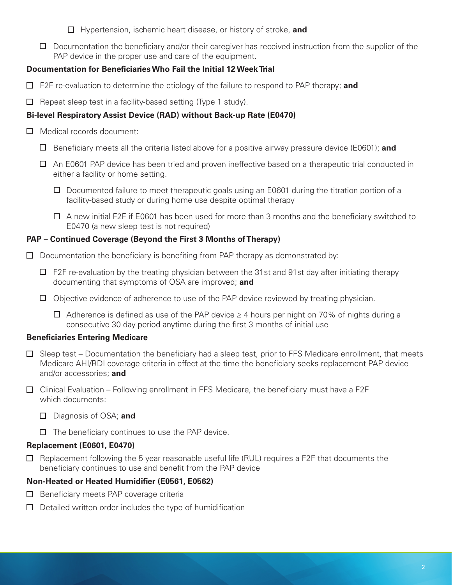- Hypertension, ischemic heart disease, or history of stroke, **and**
- $\Box$  Documentation the beneficiary and/or their caregiver has received instruction from the supplier of the PAP device in the proper use and care of the equipment.

## **Documentation for Beneficiaries Who Fail the Initial 12 Week Trial**

- F2F re-evaluation to determine the etiology of the failure to respond to PAP therapy; **and**
- $\Box$  Repeat sleep test in a facility-based setting (Type 1 study).

## **Bi-level Respiratory Assist Device (RAD) without Back-up Rate (E0470)**

- □ Medical records document:
	- Beneficiary meets all the criteria listed above for a positive airway pressure device (E0601); **and**
	- $\Box$  An E0601 PAP device has been tried and proven ineffective based on a therapeutic trial conducted in either a facility or home setting.
		- $\Box$  Documented failure to meet therapeutic goals using an E0601 during the titration portion of a facility-based study or during home use despite optimal therapy
		- $\Box$  A new initial F2F if E0601 has been used for more than 3 months and the beneficiary switched to E0470 (a new sleep test is not required)

### **PAP – Continued Coverage (Beyond the First 3 Months of Therapy)**

- $\Box$  Documentation the beneficiary is benefiting from PAP therapy as demonstrated by:
	- $\Box$  F2F re-evaluation by the treating physician between the 31st and 91st day after initiating therapy documenting that symptoms of OSA are improved; **and**
	- $\Box$  Objective evidence of adherence to use of the PAP device reviewed by treating physician.
		- $□$  Adherence is defined as use of the PAP device  $≥$  4 hours per night on 70% of nights during a consecutive 30 day period anytime during the first 3 months of initial use

#### **Beneficiaries Entering Medicare**

- $\Box$  Sleep test Documentation the beneficiary had a sleep test, prior to FFS Medicare enrollment, that meets Medicare AHI/RDI coverage criteria in effect at the time the beneficiary seeks replacement PAP device and/or accessories; **and**
- $\Box$  Clinical Evaluation Following enrollment in FFS Medicare, the beneficiary must have a F2F which documents:
	- Diagnosis of OSA; **and**
	- $\Box$  The beneficiary continues to use the PAP device.

#### **Replacement (E0601, E0470)**

 $\Box$  Replacement following the 5 year reasonable useful life (RUL) requires a F2F that documents the beneficiary continues to use and benefit from the PAP device

## **Non-Heated or Heated Humidifier (E0561, E0562)**

- $\Box$  Beneficiary meets PAP coverage criteria
- $\Box$  Detailed written order includes the type of humidification